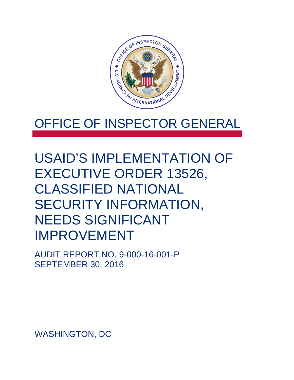

# OFFICE OF INSPECTOR GENERAL

# USAID'S IMPLEMENTATION OF EXECUTIVE ORDER 13526, CLASSIFIED NATIONAL SECURITY INFORMATION, NEEDS SIGNIFICANT IMPROVEMENT

AUDIT REPORT NO. 9-000-16-001-P SEPTEMBER 30, 2016

WASHINGTON, DC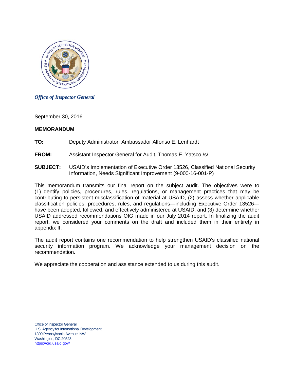

#### *Office of Inspector General*

September 30, 2016

#### **MEMORANDUM**

- **TO:** Deputy Administrator, Ambassador Alfonso E. Lenhardt
- **FROM:** Assistant Inspector General for Audit, Thomas E. Yatsco /s/
- **SUBJECT:** USAID's Implementation of Executive Order 13526, Classified National Security Information, Needs Significant Improvement (9-000-16-001-P)

This memorandum transmits our final report on the subject audit. The objectives were to (1) identify policies, procedures, rules, regulations, or management practices that may be contributing to persistent misclassification of material at USAID, (2) assess whether applicable classification policies, procedures, rules, and regulations—including Executive Order 13526 have been adopted, followed, and effectively administered at USAID, and (3) determine whether USAID addressed recommendations OIG made in our July 2014 report. In finalizing the audit report, we considered your comments on the draft and included them in their entirety in appendix II.

The audit report contains one recommendation to help strengthen USAID's classified national security information program. We acknowledge your management decision on the recommendation.

We appreciate the cooperation and assistance extended to us during this audit.

Office of Inspector General U.S. Agency for International Development 1300 Pennsylvania Avenue, NW Washington, DC 20523 https://oig.usaid.gov/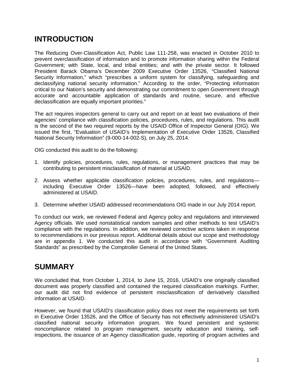## **INTRODUCTION**

The Reducing Over-Classification Act, Public Law 111-258, was enacted in October 2010 to prevent overclassification of information and to promote information sharing within the Federal Government; with State, local, and tribal entities; and with the private sector. It followed President Barack Obama's December 2009 Executive Order 13526, "Classified National Security Information," which "prescribes a uniform system for classifying, safeguarding and declassifying national security information." According to the order, "Protecting information critical to our Nation's security and demonstrating our commitment to open Government through accurate and accountable application of standards and routine, secure, and effective declassification are equally important priorities."

The act requires inspectors general to carry out and report on at least two evaluations of their agencies' compliance with classification policies, procedures, rules, and regulations. This audit is the second of the two required reports by the USAID Office of Inspector General (OIG). We issued the first, "Evaluation of USAID's Implementation of Executive Order 13526, Classified National Security Information" (9-000-14-002-S), on July 25, 2014.

OIG conducted this audit to do the following:

- 1. Identify policies, procedures, rules, regulations, or management practices that may be contributing to persistent misclassification of material at USAID.
- 2. Assess whether applicable classification policies, procedures, rules, and regulations including Executive Order 13526—have been adopted, followed, and effectively administered at USAID.
- 3. Determine whether USAID addressed recommendations OIG made in our July 2014 report.

To conduct our work, we reviewed Federal and Agency policy and regulations and interviewed Agency officials. We used nonstatistical random samples and other methods to test USAID's compliance with the regulations. In addition, we reviewed corrective actions taken in response to recommendations in our previous report. Additional details about our scope and methodology are in appendix 1. We conducted this audit in accordance with "Government Auditing Standards" as prescribed by the Comptroller General of the United States.

## **SUMMARY**

We concluded that, from October 1, 2014, to June 15, 2016, USAID's one originally classified document was properly classified and contained the required classification markings. Further, our audit did not find evidence of persistent misclassification of derivatively classified information at USAID.

However, we found that USAID's classification policy does not meet the requirements set forth in Executive Order 13526, and the Office of Security has not effectively administered USAID's classified national security information program. We found persistent and systemic noncompliance related to program management, security education and training, selfinspections, the issuance of an Agency classification guide, reporting of program activities and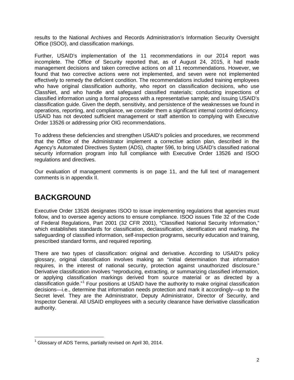results to the National Archives and Records Administration's Information Security Oversight Office (ISOO), and classification markings.

Further, USAID's implementation of the 11 recommendations in our 2014 report was incomplete. The Office of Security reported that, as of August 24, 2015, it had made management decisions and taken corrective actions on all 11 recommendations. However, we found that two corrective actions were not implemented, and seven were not implemented effectively to remedy the deficient condition. The recommendations included training employees who have original classification authority, who report on classification decisions, who use ClassNet, and who handle and safeguard classified materials; conducting inspections of classified information using a formal process with a representative sample; and issuing USAID's classification guide. Given the depth, sensitivity, and persistence of the weaknesses we found in operations, reporting, and compliance, we consider them a significant internal control deficiency. USAID has not devoted sufficient management or staff attention to complying with Executive Order 13526 or addressing prior OIG recommendations.

To address these deficiencies and strengthen USAID's policies and procedures, we recommend that the Office of the Administrator implement a corrective action plan, described in the Agency's Automated Directives System (ADS), chapter 596, to bring USAID's classified national security information program into full compliance with Executive Order 13526 and ISOO regulations and directives.

Our evaluation of management comments is on page 11, and the full text of management comments is in appendix II.

## **BACKGROUND**

Executive Order 13526 designates ISOO to issue implementing regulations that agencies must follow, and to oversee agency actions to ensure compliance. ISOO issues Title 32 of the Code of Federal Regulations, Part 2001 (32 CFR 2001), "Classified National Security Information," which establishes standards for classification, declassification, identification and marking, the safeguarding of classified information, self-inspection programs, security education and training, prescribed standard forms, and required reporting.

There are two types of classification: original and derivative. According to USAID's policy glossary, original classification involves making an "initial determination that information requires, in the interest of national security, protection against unauthorized disclosure." Derivative classification involves "reproducing, extracting, or summarizing classified information, or applying classification markings derived from source material or as directed by a classification guide."[1](#page-3-0) Four positions at USAID have the authority to make original classification decisions—i.e., determine that information needs protection and mark it accordingly—up to the Secret level. They are the Administrator, Deputy Administrator, Director of Security, and Inspector General. All USAID employees with a security clearance have derivative classification authority.

<span id="page-3-0"></span> $1$  Glossary of ADS Terms, partially revised on April 30, 2014.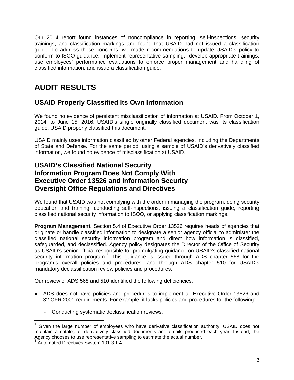Our 2014 report found instances of noncompliance in reporting, self-inspections, security trainings, and classification markings and found that USAID had not issued a classification guide. To address these concerns, we made recommendations to update USAID's policy to conform to ISOO guidance, implement representative sampling,<sup>[2](#page-4-0)</sup> develop appropriate trainings, use employees' performance evaluations to enforce proper management and handling of classified information, and issue a classification guide.

# **AUDIT RESULTS**

## **USAID Properly Classified Its Own Information**

We found no evidence of persistent misclassification of information at USAID. From October 1, 2014, to June 15, 2016, USAID's single originally classified document was its classification guide. USAID properly classified this document.

USAID mainly uses information classified by other Federal agencies, including the Departments of State and Defense. For the same period, using a sample of USAID's derivatively classified information, we found no evidence of misclassification at USAID.

### **USAID's Classified National Security Information Program Does Not Comply With Executive Order 13526 and Information Security Oversight Office Regulations and Directives**

We found that USAID was not complying with the order in managing the program, doing security education and training, conducting self-inspections, issuing a classification guide, reporting classified national security information to ISOO, or applying classification markings.

**Program Management.** Section 5.4 of Executive Order 13526 requires heads of agencies that originate or handle classified information to designate a senior agency official to administer the classified national security information program and direct how information is classified, safeguarded, and declassified. Agency policy designates the Director of the Office of Security as USAID's senior official responsible for promulgating guidance on USAID's classified national security information program.<sup>[3](#page-4-1)</sup> This guidance is issued through ADS chapter 568 for the program's overall policies and procedures, and through ADS chapter 510 for USAID's mandatory declassification review policies and procedures.

Our review of ADS 568 and 510 identified the following deficiencies.

- ADS does not have policies and procedures to implement all Executive Order 13526 and 32 CFR 2001 requirements. For example, it lacks policies and procedures for the following:
	- Conducting systematic declassification reviews.

<span id="page-4-0"></span> $2$  Given the large number of employees who have derivative classification authority, USAID does not maintain a catalog of derivatively classified documents and emails produced each year. Instead, the Agency chooses to use representative sampling to estimate the actual number.

<span id="page-4-1"></span><sup>3</sup> Automated Directives System 101.3.1.4.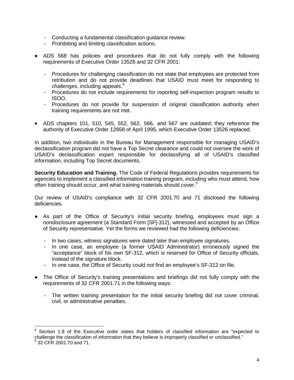- Conducting a fundamental classification guidance review.
- Prohibiting and limiting classification actions.
- ADS 568 has policies and procedures that do not fully comply with the following requirements of Executive Order 13526 and 32 CFR 2001:
	- Procedures for challenging classification do not state that employees are protected from retribution and do not provide deadlines that USAID must meet for responding to challenges, including appeals. [4](#page-5-0)
	- Procedures do not include requirements for reporting self-inspection program results to ISOO.
	- Procedures do not provide for suspension of original classification authority when training requirements are not met.
- ADS chapters 101, 510, 545, 552, 562, 566, and 567 are outdated; they reference the authority of Executive Order 12958 of April 1995, which Executive Order 13526 replaced.

In addition, two individuals in the Bureau for Management responsible for managing USAID's declassification program did not have a Top Secret clearance and could not oversee the work of USAID's declassification expert responsible for declassifying all of USAID's classified information, including Top Secret documents.

**Security Education and Training.** The Code of Federal Regulations provides requirements for agencies to implement a classified information training program, including who must attend, how often training should occur, and what training materials should cover.<sup>[5](#page-5-1)</sup>

Our review of USAID's compliance with 32 CFR 2001.70 and 71 disclosed the following deficiencies.

- As part of the Office of Security's initial security briefing, employees must sign a nondisclosure agreement (a Standard Form [SF]-312), witnessed and accepted by an Office of Security representative. Yet the forms we reviewed had the following deficiencies:
	- In two cases, witness signatures were dated later than employee signatures.
	- In one case, an employee (a former USAID Administrator) erroneously signed the "acceptance" block of his own SF-312, which is reserved for Office of Security officials, instead of the signature block.
	- In one case, the Office of Security could not find an employee's SF-312 on file.
- The Office of Security's training presentations and briefings did not fully comply with the requirements of 32 CFR 2001.71 in the following ways:
	- The written training presentation for the initial security briefing did not cover criminal, civil, or administrative penalties.

<span id="page-5-1"></span><span id="page-5-0"></span>Section 1.8 of the Executive order states that holders of classified information are "expected to challenge the classification of information that they believe is improperly classified or unclassified." <sup>5</sup> 32 CFR 2001.70 and 71.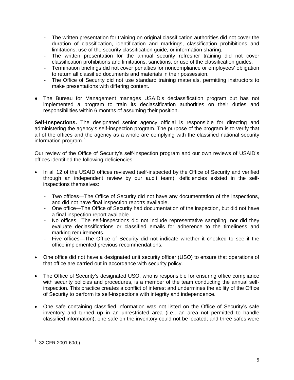- The written presentation for training on original classification authorities did not cover the duration of classification, identification and markings, classification prohibitions and limitations, use of the security classification guide, or information sharing.
- The written presentation for the annual security refresher training did not cover classification prohibitions and limitations, sanctions, or use of the classification guides.
- Termination briefings did not cover penalties for noncompliance or employees' obligation to return all classified documents and materials in their possession.
- The Office of Security did not use standard training materials, permitting instructors to make presentations with differing content.
- The Bureau for Management manages USAID's declassification program but has not implemented a program to train its declassification authorities on their duties and responsibilities within 6 months of assuming their position.

**Self-Inspections.** The designated senior agency official is responsible for directing and administering the agency's self-inspection program. The purpose of the program is to verify that all of the offices and the agency as a whole are complying with the classified national security information program. [6](#page-6-0)

Our review of the Office of Security's self-inspection program and our own reviews of USAID's offices identified the following deficiencies.

- In all 12 of the USAID offices reviewed (self-inspected by the Office of Security and verified through an independent review by our audit team), deficiencies existed in the selfinspections themselves:
	- Two offices—The Office of Security did not have any documentation of the inspections, and did not have final inspection reports available.
	- One office—The Office of Security had documentation of the inspection, but did not have a final inspection report available.
	- No offices—The self-inspections did not include representative sampling, nor did they evaluate declassifications or classified emails for adherence to the timeliness and marking requirements.
	- Five offices—The Office of Security did not indicate whether it checked to see if the office implemented previous recommendations.
- One office did not have a designated unit security officer (USO) to ensure that operations of that office are carried out in accordance with security policy.
- The Office of Security's designated USO, who is responsible for ensuring office compliance with security policies and procedures, is a member of the team conducting the annual selfinspection. This practice creates a conflict of interest and undermines the ability of the Office of Security to perform its self-inspections with integrity and independence.
- One safe containing classified information was not listed on the Office of Security's safe inventory and turned up in an unrestricted area (i.e., an area not permitted to handle classified information); one safe on the inventory could not be located; and three safes were

<span id="page-6-0"></span> $6$  32 CFR 2001.60(b).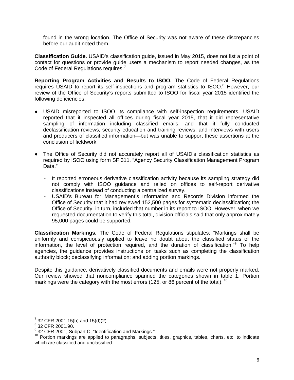found in the wrong location. The Office of Security was not aware of these discrepancies before our audit noted them.

**Classification Guide.** USAID's classification guide, issued in May 2015, does not list a point of contact for questions or provide guide users a mechanism to report needed changes, as the Code of Federal Regulations requires.<sup>[7](#page-7-0)</sup>

**Reporting Program Activities and Results to ISOO.** The Code of Federal Regulations requires USAID to report its self-inspections and program statistics to ISOO.<sup>[8](#page-7-1)</sup> However, our review of the Office of Security's reports submitted to ISOO for fiscal year 2015 identified the following deficiencies.

- USAID misreported to ISOO its compliance with self-inspection requirements. USAID reported that it inspected all offices during fiscal year 2015, that it did representative sampling of information including classified emails, and that it fully conducted declassification reviews, security education and training reviews, and interviews with users and producers of classified information—but was unable to support these assertions at the conclusion of fieldwork.
- The Office of Security did not accurately report all of USAID's classification statistics as required by ISOO using form SF 311, "Agency Security Classification Management Program Data."
	- It reported erroneous derivative classification activity because its sampling strategy did not comply with ISOO guidance and relied on offices to self-report derivative classifications instead of conducting a centralized survey.
	- USAID's Bureau for Management's Information and Records Division informed the Office of Security that it had reviewed 152,500 pages for systematic declassification; the Office of Security, in turn, included that number in its report to ISOO. However, when we requested documentation to verify this total, division officials said that only approximately 95,000 pages could be supported.

**Classification Markings.** The Code of Federal Regulations stipulates: "Markings shall be uniformly and conspicuously applied to leave no doubt about the classified status of the information, the level of protection required, and the duration of classification."[9](#page-7-2) To help agencies, the guidance provides instructions on tasks such as completing the classification authority block; declassifying information; and adding portion markings.

Despite this guidance, derivatively classified documents and emails were not properly marked. Our review showed that noncompliance spanned the categories shown in table 1. Portion markings were the category with the most errors (125, or 86 percent of the total).  $^{10}$  $^{10}$  $^{10}$ 

<span id="page-7-1"></span><span id="page-7-0"></span> $\frac{7}{8}$  32 CFR 2001.15(b) and 15(d)(2).<br> $\frac{8}{8}$  32 CFR 2001.90.<br> $\frac{9}{8}$  32 CFR 2001, Subpart C, "Identification and Markings."

<span id="page-7-3"></span><span id="page-7-2"></span><sup>&</sup>lt;sup>10</sup> Portion markings are applied to paragraphs, subjects, titles, graphics, tables, charts, etc. to indicate which are classified and unclassified.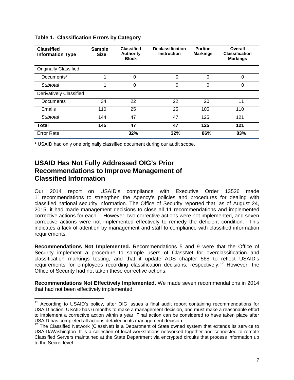| <b>Classified</b><br><b>Information Type</b> | <b>Sample</b><br><b>Size</b> | <b>Classified</b><br><b>Authority</b><br><b>Block</b> | <b>Declassification</b><br><b>Instruction</b> | <b>Portion</b><br><b>Markings</b> | <b>Overall</b><br><b>Classification</b><br><b>Markings</b> |
|----------------------------------------------|------------------------------|-------------------------------------------------------|-----------------------------------------------|-----------------------------------|------------------------------------------------------------|
| <b>Originally Classified</b>                 |                              |                                                       |                                               |                                   |                                                            |
| Documents*                                   |                              | 0                                                     | 0                                             | 0                                 | 0                                                          |
| Subtotal                                     |                              | $\Omega$                                              | 0                                             | 0                                 | 0                                                          |
| Derivatively Classified                      |                              |                                                       |                                               |                                   |                                                            |
| Documents                                    | 34                           | 22                                                    | 22                                            | 20                                | 11                                                         |
| Emails                                       | 110                          | 25                                                    | 25                                            | 105                               | 110                                                        |
| Subtotal                                     | 144                          | 47                                                    | 47                                            | 125                               | 121                                                        |
| Total                                        | 145                          | 47                                                    | 47                                            | 125                               | 121                                                        |
| <b>Error Rate</b>                            |                              | 32%                                                   | 32%                                           | 86%                               | 83%                                                        |

**Table 1. Classification Errors by Category**

\* USAID had only one originally classified document during our audit scope.

### **USAID Has Not Fully Addressed OIG's Prior Recommendations to Improve Management of Classified Information**

Our 2014 report on USAID's compliance with Executive Order 13526 made 11 recommendations to strengthen the Agency's policies and procedures for dealing with classified national security information. The Office of Security reported that, as of August 24, 2015, it had made management decisions to close all 11 recommendations and implemented corrective actions for each.<sup>[11](#page-8-0)</sup> However, two corrective actions were not implemented, and seven corrective actions were not implemented effectively to remedy the deficient condition. This indicates a lack of attention by management and staff to compliance with classified information requirements.

**Recommendations Not Implemented.** Recommendations 5 and 9 were that the Office of Security implement a procedure to sample users of ClassNet for overclassification and classification markings testing, and that it update ADS chapter 568 to reflect USAID's requirements for employees recording classification decisions, respectively.<sup>[12](#page-8-1)</sup> However, the Office of Security had not taken these corrective actions.

**Recommendations Not Effectively Implemented.** We made seven recommendations in 2014 that had not been effectively implemented.

<span id="page-8-0"></span><sup>&</sup>lt;sup>11</sup> According to USAID's policy, after OIG issues a final audit report containing recommendations for USAID action, USAID has 6 months to make a management decision, and must make a reasonable effort to implement a corrective action within a year. Final action can be considered to have taken place after USAID has completed all actions detailed in its management decision.

<span id="page-8-1"></span> $12$  The Classified Network (ClassNet) is a Department of State owned system that extends its service to USAID/Washington. It is a collection of local workstations networked together and connected to remote Classified Servers maintained at the State Department via encrypted circuits that process information up to the Secret level.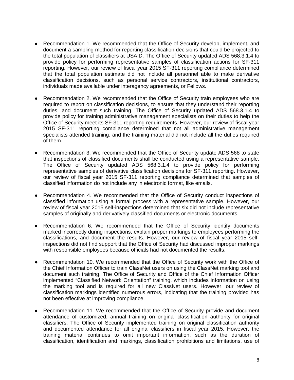- Recommendation 1. We recommended that the Office of Security develop, implement, and document a sampling method for reporting classification decisions that could be projected to the total population of classifiers at USAID. The Office of Security updated ADS 568.3.1.4 to provide policy for performing representative samples of classification actions for SF-311 reporting. However, our review of fiscal year 2015 SF-311 reporting compliance determined that the total population estimate did not include all personnel able to make derivative classification decisions, such as personal service contractors, institutional contractors, individuals made available under interagency agreements, or Fellows.
- Recommendation 2. We recommended that the Office of Security train employees who are required to report on classification decisions, to ensure that they understand their reporting duties, and document such training. The Office of Security updated ADS 568.3.1.4 to provide policy for training administrative management specialists on their duties to help the Office of Security meet its SF-311 reporting requirements. However, our review of fiscal year 2015 SF-311 reporting compliance determined that not all administrative management specialists attended training, and the training material did not include all the duties required of them.
- Recommendation 3. We recommended that the Office of Security update ADS 568 to state that inspections of classified documents shall be conducted using a representative sample. The Office of Security updated ADS 568.3.1.4 to provide policy for performing representative samples of derivative classification decisions for SF-311 reporting. However, our review of fiscal year 2015 SF-311 reporting compliance determined that samples of classified information do not include any in electronic format, like emails.
- Recommendation 4. We recommended that the Office of Security conduct inspections of classified information using a formal process with a representative sample. However, our review of fiscal year 2015 self-inspections determined that six did not include representative samples of originally and derivatively classified documents or electronic documents.
- Recommendation 6. We recommended that the Office of Security identify documents marked incorrectly during inspections, explain proper markings to employees performing the classifications, and document the results. However, our review of fiscal year 2015 selfinspections did not find support that the Office of Security had discussed improper markings with responsible employees because officials had not documented the results.
- Recommendation 10. We recommended that the Office of Security work with the Office of the Chief Information Officer to train ClassNet users on using the ClassNet marking tool and document such training. The Office of Security and Office of the Chief Information Officer implemented "Classified Network Orientation" training, which includes information on using the marking tool and is required for all new ClassNet users. However, our review of classification markings identified numerous errors, indicating that the training provided has not been effective at improving compliance.
- Recommendation 11. We recommended that the Office of Security provide and document attendance of customized, annual training on original classification authority for original classifiers. The Office of Security implemented training on original classification authority and documented attendance for all original classifiers in fiscal year 2015. However, the training material continues to omit important information, such as the duration of classification, identification and markings, classification prohibitions and limitations, use of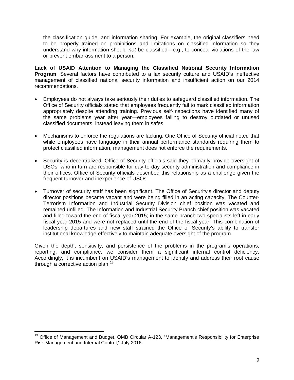the classification guide, and information sharing. For example, the original classifiers need to be properly trained on prohibitions and limitations on classified information so they understand why information should *not* be classified—e.g., to conceal violations of the law or prevent embarrassment to a person.

**Lack of USAID Attention to Managing the Classified National Security Information Program**. Several factors have contributed to a lax security culture and USAID's ineffective management of classified national security information and insufficient action on our 2014 recommendations.

- Employees do not always take seriously their duties to safeguard classified information. The Office of Security officials stated that employees frequently fail to mark classified information appropriately despite attending training. Previous self-inspections have identified many of the same problems year after year—employees failing to destroy outdated or unused classified documents, instead leaving them in safes.
- Mechanisms to enforce the regulations are lacking. One Office of Security official noted that while employees have language in their annual performance standards requiring them to protect classified information, management does not enforce the requirements.
- Security is decentralized. Office of Security officials said they primarily provide oversight of USOs, who in turn are responsible for day-to-day security administration and compliance in their offices. Office of Security officials described this relationship as a challenge given the frequent turnover and inexperience of USOs.
- Turnover of security staff has been significant. The Office of Security's director and deputy director positions became vacant and were being filled in an acting capacity. The Counter-Terrorism Information and Industrial Security Division chief position was vacated and remained unfilled. The Information and Industrial Security Branch chief position was vacated and filled toward the end of fiscal year 2015; in the same branch two specialists left in early fiscal year 2015 and were not replaced until the end of the fiscal year. This combination of leadership departures and new staff strained the Office of Security's ability to transfer institutional knowledge effectively to maintain adequate oversight of the program.

Given the depth, sensitivity, and persistence of the problems in the program's operations, reporting, and compliance, we consider them a significant internal control deficiency. Accordingly, it is incumbent on USAID's management to identify and address their root cause through a corrective action plan. $13$ 

<span id="page-10-0"></span><sup>&</sup>lt;sup>13</sup> Office of Management and Budget, OMB Circular A-123, "Management's Responsibility for Enterprise Risk Management and Internal Control," July 2016.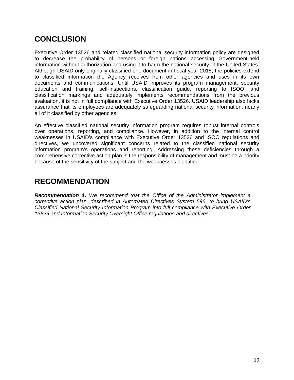## **CONCLUSION**

Executive Order 13526 and related classified national security information policy are designed to decrease the probability of persons or foreign nations accessing Government-held information without authorization and using it to harm the national security of the United States. Although USAID only originally classified one document in fiscal year 2015, the policies extend to classified information the Agency receives from other agencies and uses in its own documents and communications. Until USAID improves its program management, security education and training, self-inspections, classification guide, reporting to ISOO, and classification markings and adequately implements recommendations from the previous evaluation, it is not in full compliance with Executive Order 13526. USAID leadership also lacks assurance that its employees are adequately safeguarding national security information, nearly all of it classified by other agencies.

An effective classified national security information program requires robust internal controls over operations, reporting, and compliance. However, in addition to the internal control weaknesses in USAID's compliance with Executive Order 13526 and ISOO regulations and directives, we uncovered significant concerns related to the classified national security information program's operations and reporting. Addressing these deficiencies through a comprehensive corrective action plan is the responsibility of management and must be a priority because of the sensitivity of the subject and the weaknesses identified.

## **RECOMMENDATION**

*Recommendation 1. We recommend that the Office of the Administrator implement a corrective action plan, described in Automated Directives System 596, to bring USAID's Classified National Security Information Program into full compliance with Executive Order 13526 and Information Security Oversight Office regulations and directives.*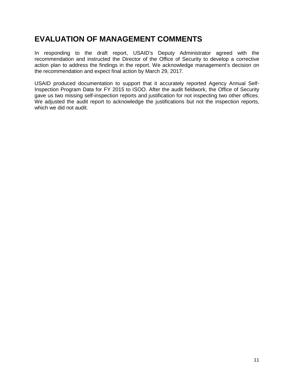## **EVALUATION OF MANAGEMENT COMMENTS**

In responding to the draft report, USAID's Deputy Administrator agreed with the recommendation and instructed the Director of the Office of Security to develop a corrective action plan to address the findings in the report. We acknowledge management's decision on the recommendation and expect final action by March 29, 2017.

USAID produced documentation to support that it accurately reported Agency Annual Self-Inspection Program Data for FY 2015 to ISOO. After the audit fieldwork, the Office of Security gave us two missing self-inspection reports and justification for not inspecting two other offices. We adjusted the audit report to acknowledge the justifications but not the inspection reports, which we did not audit.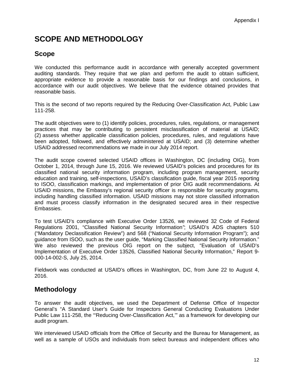# **SCOPE AND METHODOLOGY**

### **Scope**

We conducted this performance audit in accordance with generally accepted government auditing standards. They require that we plan and perform the audit to obtain sufficient, appropriate evidence to provide a reasonable basis for our findings and conclusions, in accordance with our audit objectives. We believe that the evidence obtained provides that reasonable basis.

This is the second of two reports required by the Reducing Over-Classification Act, Public Law 111-258.

The audit objectives were to (1) identify policies, procedures, rules, regulations, or management practices that may be contributing to persistent misclassification of material at USAID; (2) assess whether applicable classification policies, procedures, rules, and regulations have been adopted, followed, and effectively administered at USAID; and (3) determine whether USAID addressed recommendations we made in our July 2014 report.

The audit scope covered selected USAID offices in Washington, DC (including OIG), from October 1, 2014, through June 15, 2016. We reviewed USAID's policies and procedures for its classified national security information program, including program management, security education and training, self-inspections, USAID's classification guide, fiscal year 2015 reporting to ISOO, classification markings, and implementation of prior OIG audit recommendations. At USAID missions, the Embassy's regional security officer is responsible for security programs, including handling classified information. USAID missions may not store classified information and must process classify information in the designated secured area in their respective Embassies.

To test USAID's compliance with Executive Order 13526, we reviewed 32 Code of Federal Regulations 2001, "Classified National Security Information*"*; USAID's ADS chapters 510 ("Mandatory Declassification Review") and 568 ("National Security Information Program"); and guidance from ISOO, such as the user guide, "Marking Classified National Security Information." We also reviewed the previous OIG report on the subject, "Evaluation of USAID's Implementation of Executive Order 13526, Classified National Security Information," Report 9- 000-14-002-S, July 25, 2014.

Fieldwork was conducted at USAID's offices in Washington, DC, from June 22 to August 4, 2016.

### **Methodology**

To answer the audit objectives, we used the Department of Defense Office of Inspector General's "A Standard User's Guide for Inspectors General Conducting Evaluations Under Public Law 111-258, the '"Reducing Over-Classification Act,'" as a framework for developing our audit program.

We interviewed USAID officials from the Office of Security and the Bureau for Management, as well as a sample of USOs and individuals from select bureaus and independent offices who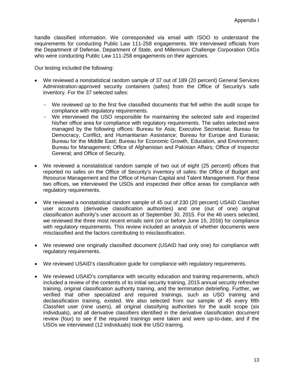handle classified information. We corresponded via email with ISOO to understand the requirements for conducting Public Law 111-258 engagements. We interviewed officials from the Department of Defense, Department of State, and Millennium Challenge Corporation OIGs who were conducting Public Law 111-258 engagements on their agencies.

Our testing included the following:

- We reviewed a nonstatistical random sample of 37 out of 189 (20 percent) General Services Administration-approved security containers (safes) from the Office of Security's safe inventory. For the 37 selected safes:
	- We reviewed up to the first five classified documents that fell within the audit scope for compliance with regulatory requirements.
	- We interviewed the USO responsible for maintaining the selected safe and inspected his/her office area for compliance with regulatory requirements. The safes selected were managed by the following offices: Bureau for Asia; Executive Secretariat; Bureau for Democracy, Conflict, and Humanitarian Assistance; Bureau for Europe and Eurasia; Bureau for the Middle East; Bureau for Economic Growth, Education, and Environment; Bureau for Management; Office of Afghanistan and Pakistan Affairs; Office of Inspector General; and Office of Security.
- We reviewed a nonstatistical random sample of two out of eight (25 percent) offices that reported no safes on the Office of Security's inventory of safes: the Office of Budget and Resource Management and the Office of Human Capital and Talent Management. For these two offices, we interviewed the USOs and inspected their office areas for compliance with regulatory requirements.
- We reviewed a nonstatistical random sample of 45 out of 230 (20 percent) USAID ClassNet user accounts (derivative classification authorities) and one (out of one) original classification authority's user account as of September 30, 2015. For the 46 users selected, we reviewed the three most recent emails sent (on or before June 15, 2016) for compliance with regulatory requirements. This review included an analysis of whether documents were misclassified and the factors contributing to misclassification.
- We reviewed one originally classified document (USAID had only one) for compliance with regulatory requirements.
- We reviewed USAID's classification guide for compliance with regulatory requirements.
- We reviewed USAID's compliance with security education and training requirements, which included a review of the contents of its initial security training, 2015 annual security refresher training, original classification authority training, and the termination debriefing. Further, we verified that other specialized and required trainings, such as USO training and declassification training, existed. We also selected from our sample of 45 every fifth ClassNet user (nine users), all original classifying authorities for the audit scope (six individuals), and all derivative classifiers identified in the derivative classification document review (four) to see if the required trainings were taken and were up-to-date, and if the USOs we interviewed (12 individuals) took the USO training.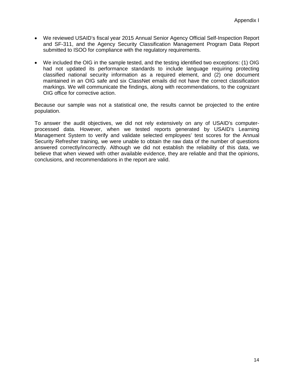- We reviewed USAID's fiscal year 2015 Annual Senior Agency Official Self-Inspection Report and SF-311, and the Agency Security Classification Management Program Data Report submitted to ISOO for compliance with the regulatory requirements.
- We included the OIG in the sample tested, and the testing identified two exceptions: (1) OIG had not updated its performance standards to include language requiring protecting classified national security information as a required element, and (2) one document maintained in an OIG safe and six ClassNet emails did not have the correct classification markings. We will communicate the findings, along with recommendations, to the cognizant OIG office for corrective action.

Because our sample was not a statistical one, the results cannot be projected to the entire population.

To answer the audit objectives, we did not rely extensively on any of USAID's computerprocessed data. However, when we tested reports generated by USAID's Learning Management System to verify and validate selected employees' test scores for the Annual Security Refresher training, we were unable to obtain the raw data of the number of questions answered correctly/incorrectly. Although we did not establish the reliability of this data, we believe that when viewed with other available evidence, they are reliable and that the opinions, conclusions, and recommendations in the report are valid.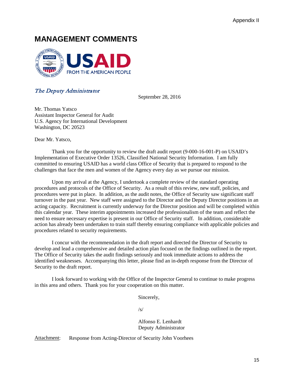## **MANAGEMENT COMMENTS**



#### The Deputy Administrator

September 28, 2016

Mr. Thomas Yatsco Assistant Inspector General for Audit U.S. Agency for International Development Washington, DC 20523

Dear Mr. Yatsco,

Thank you for the opportunity to review the draft audit report (9-000-16-001-P) on USAID's Implementation of Executive Order 13526, Classified National Security Information. I am fully committed to ensuring USAID has a world class Office of Security that is prepared to respond to the challenges that face the men and women of the Agency every day as we pursue our mission.

 Upon my arrival at the Agency, I undertook a complete review of the standard operating procedures and protocols of the Office of Security. As a result of this review, new staff, policies, and procedures were put in place. In addition, as the audit notes, the Office of Security saw significant staff turnover in the past year. New staff were assigned to the Director and the Deputy Director positions in an acting capacity. Recruitment is currently underway for the Director position and will be completed within this calendar year. These interim appointments increased the professionalism of the team and reflect the need to ensure necessary expertise is present in our Office of Security staff. In addition, considerable action has already been undertaken to train staff thereby ensuring compliance with applicable policies and procedures related to security requirements.

I concur with the recommendation in the draft report and directed the Director of Security to develop and lead a comprehensive and detailed action plan focused on the findings outlined in the report. The Office of Security takes the audit findings seriously and took immediate actions to address the identified weaknesses. Accompanying this letter, please find an in-depth response from the Director of Security to the draft report.

I look forward to working with the Office of the Inspector General to continue to make progress in this area and others. Thank you for your cooperation on this matter.

Sincerely,

/s/

Alfonso E. Lenhardt Deputy Administrator

Attachment: Response from Acting-Director of Security John Voorhees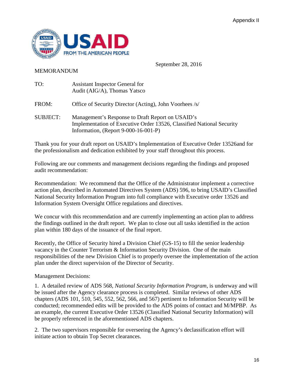

September 28, 2016

#### MEMORANDUM

| TO:             | Assistant Inspector General for<br>Audit (AIG/A), Thomas Yatsco                                                                                                   |
|-----------------|-------------------------------------------------------------------------------------------------------------------------------------------------------------------|
| FROM:           | Office of Security Director (Acting), John Voorhees /s/                                                                                                           |
| <b>SUBJECT:</b> | Management's Response to Draft Report on USAID's<br>Implementation of Executive Order 13526, Classified National Security<br>Information, (Report 9-000-16-001-P) |

Thank you for your draft report on USAID's Implementation of Executive Order 13526and for the professionalism and dedication exhibited by your staff throughout this process.

Following are our comments and management decisions regarding the findings and proposed audit recommendation:

Recommendation: We recommend that the Office of the Administrator implement a corrective action plan, described in Automated Directives System (ADS) 596, to bring USAID's Classified National Security Information Program into full compliance with Executive order 13526 and Information System Oversight Office regulations and directives.

We concur with this recommendation and are currently implementing an action plan to address the findings outlined in the draft report. We plan to close out all tasks identified in the action plan within 180 days of the issuance of the final report.

Recently, the Office of Security hired a Division Chief (GS-15) to fill the senior leadership vacancy in the Counter Terrorism & Information Security Division. One of the main responsibilities of the new Division Chief is to properly oversee the implementation of the action plan under the direct supervision of the Director of Security.

Management Decisions:

1. A detailed review of ADS 568, *National Security Information Program*, is underway and will be issued after the Agency clearance process is completed. Similar reviews of other ADS chapters (ADS 101, 510, 545, 552, 562, 566, and 567) pertinent to Information Security will be conducted; recommended edits will be provided to the ADS points of contact and M/MPBP. As an example, the current Executive Order 13526 (Classified National Security Information) will be properly referenced in the aforementioned ADS chapters.

2. The two supervisors responsible for overseeing the Agency's declassification effort will initiate action to obtain Top Secret clearances.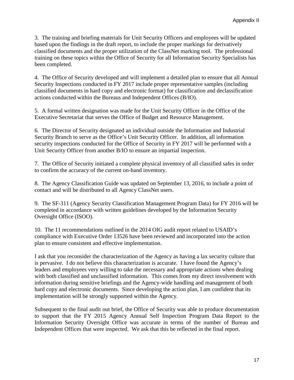3. The training and briefing materials for Unit Security Officers and employees will be updated based upon the findings in the draft report, to include the proper markings for derivatively classified documents and the proper utilization of the ClassNet marking tool. The professional training on these topics within the Office of Security for all Information Security Specialists has been completed.

4. The Office of Security developed and will implement a detailed plan to ensure that all Annual Security Inspections conducted in FY 2017 include proper representative samples (including classified documents in hard copy and electronic format) for classification and declassification actions conducted within the Bureaus and Independent Offices (B/IO).

5. A formal written designation was made for the Unit Security Officer in the Office of the Executive Secretariat that serves the Office of Budget and Resource Management.

6. The Director of Security designated an individual outside the Information and Industrial Security Branch to serve as the Office's Unit Security Officer. In addition, all information security inspections conducted for the Office of Security in FY 2017 will be performed with a Unit Security Officer from another B/IO to ensure an impartial inspection.

7. The Office of Security initiated a complete physical inventory of all classified safes in order to confirm the accuracy of the current on-hand inventory.

8. The Agency Classification Guide was updated on September 13, 2016, to include a point of contact and will be distributed to all Agency ClassNet users.

9. The SF-311 (Agency Security Classification Management Program Data) for FY 2016 will be completed in accordance with written guidelines developed by the Information Security Oversight Office (ISOO).

10. The 11 recommendations outlined in the 2014 OIG audit report related to USAID's compliance with Executive Order 13526 have been reviewed and incorporated into the action plan to ensure consistent and effective implementation.

I ask that you reconsider the characterization of the Agency as having a lax security culture that is pervasive. I do not believe this characterization is accurate. I have found the Agency's leaders and employees very willing to take the necessary and appropriate actions when dealing with both classified and unclassified information. This comes from my direct involvement with information during sensitive briefings and the Agency-wide handling and management of both hard copy and electronic documents. Since developing the action plan, I am confident that its implementation will be strongly supported within the Agency.

Subsequent to the final audit out brief, the Office of Security was able to produce documentation to support that the FY 2015 Agency Annual Self Inspection Program Data Report to the Information Security Oversight Office was accurate in terms of the number of Bureau and Independent Offices that were inspected. We ask that this be reflected in the final report.